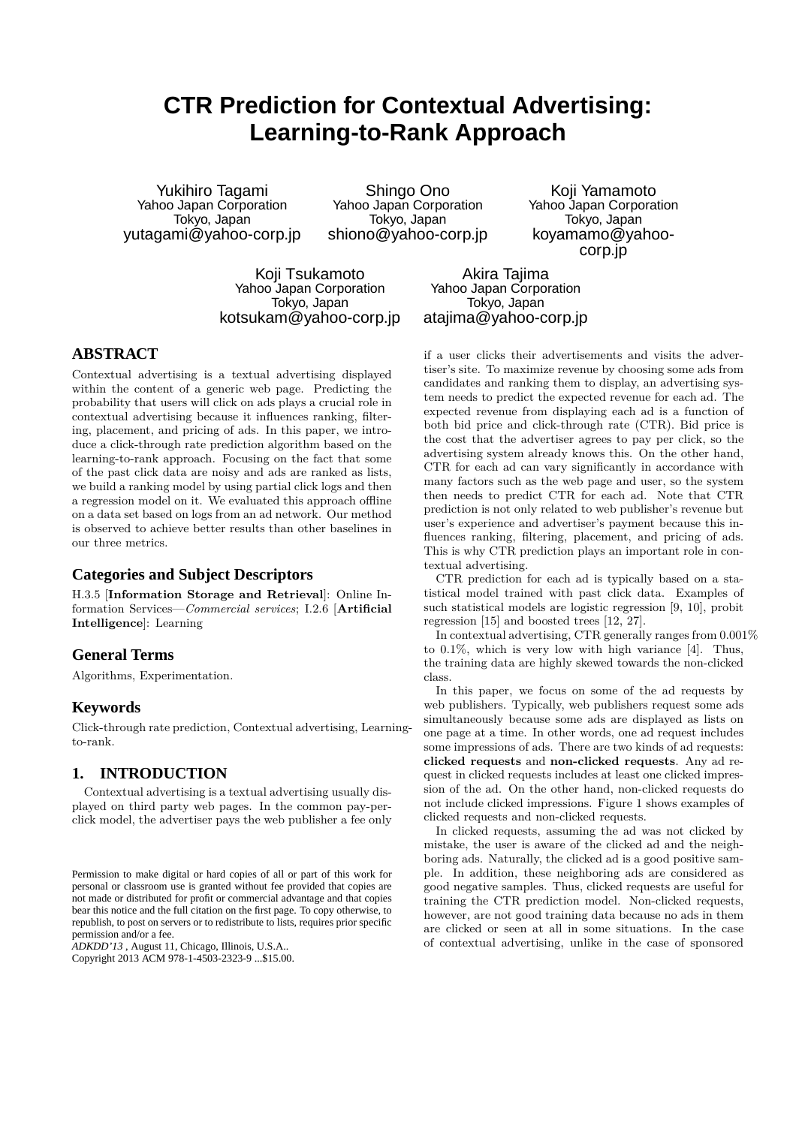# **CTR Prediction for Contextual Advertising: Learning-to-Rank Approach**

Yukihiro Tagami Yahoo Japan Corporation Tokyo, Japan yutagami@yahoo-corp.jp

Shingo Ono Yahoo Japan Corporation Tokyo, Japan shiono@yahoo-corp.jp

Koji Yamamoto Yahoo Japan Corporation Tokyo, Japan koyamamo@yahoocorp.jp

Koji Tsukamoto Yahoo Japan Corporation Tokyo, Japan kotsukam@yahoo-corp.jp

Akira Tajima Yahoo Japan Corporation Tokyo, Japan atajima@yahoo-corp.jp

# **ABSTRACT**

Contextual advertising is a textual advertising displayed within the content of a generic web page. Predicting the probability that users will click on ads plays a crucial role in contextual advertising because it influences ranking, filtering, placement, and pricing of ads. In this paper, we introduce a click-through rate prediction algorithm based on the learning-to-rank approach. Focusing on the fact that some of the past click data are noisy and ads are ranked as lists, we build a ranking model by using partial click logs and then a regression model on it. We evaluated this approach offline on a data set based on logs from an ad network. Our method is observed to achieve better results than other baselines in our three metrics.

## **Categories and Subject Descriptors**

H.3.5 [**Information Storage and Retrieval**]: Online Information Services—*Commercial services*; I.2.6 [**Artificial Intelligence**]: Learning

# **General Terms**

Algorithms, Experimentation.

## **Keywords**

Click-through rate prediction, Contextual advertising, Learningto-rank.

# **1. INTRODUCTION**

Contextual advertising is a textual advertising usually displayed on third party web pages. In the common pay-perclick model, the advertiser pays the web publisher a fee only

*ADKDD'13* , August 11, Chicago, Illinois, U.S.A..

Copyright 2013 ACM 978-1-4503-2323-9 ...\$15.00.

if a user clicks their advertisements and visits the advertiser's site. To maximize revenue by choosing some ads from candidates and ranking them to display, an advertising system needs to predict the expected revenue for each ad. The expected revenue from displaying each ad is a function of both bid price and click-through rate (CTR). Bid price is the cost that the advertiser agrees to pay per click, so the advertising system already knows this. On the other hand, CTR for each ad can vary significantly in accordance with many factors such as the web page and user, so the system then needs to predict CTR for each ad. Note that CTR prediction is not only related to web publisher's revenue but user's experience and advertiser's payment because this influences ranking, filtering, placement, and pricing of ads. This is why CTR prediction plays an important role in contextual advertising.

CTR prediction for each ad is typically based on a statistical model trained with past click data. Examples of such statistical models are logistic regression [9, 10], probit regression [15] and boosted trees [12, 27].

In contextual advertising, CTR generally ranges from 0.001% to 0.1%, which is very low with high variance [4]. Thus, the training data are highly skewed towards the non-clicked class.

In this paper, we focus on some of the ad requests by web publishers. Typically, web publishers request some ads simultaneously because some ads are displayed as lists on one page at a time. In other words, one ad request includes some impressions of ads. There are two kinds of ad requests: **clicked requests** and **non-clicked requests**. Any ad request in clicked requests includes at least one clicked impression of the ad. On the other hand, non-clicked requests do not include clicked impressions. Figure 1 shows examples of clicked requests and non-clicked requests.

In clicked requests, assuming the ad was not clicked by mistake, the user is aware of the clicked ad and the neighboring ads. Naturally, the clicked ad is a good positive sample. In addition, these neighboring ads are considered as good negative samples. Thus, clicked requests are useful for training the CTR prediction model. Non-clicked requests, however, are not good training data because no ads in them are clicked or seen at all in some situations. In the case of contextual advertising, unlike in the case of sponsored

Permission to make digital or hard copies of all or part of this work for personal or classroom use is granted without fee provided that copies are not made or distributed for profit or commercial advantage and that copies bear this notice and the full citation on the first page. To copy otherwise, to republish, to post on servers or to redistribute to lists, requires prior specific permission and/or a fee.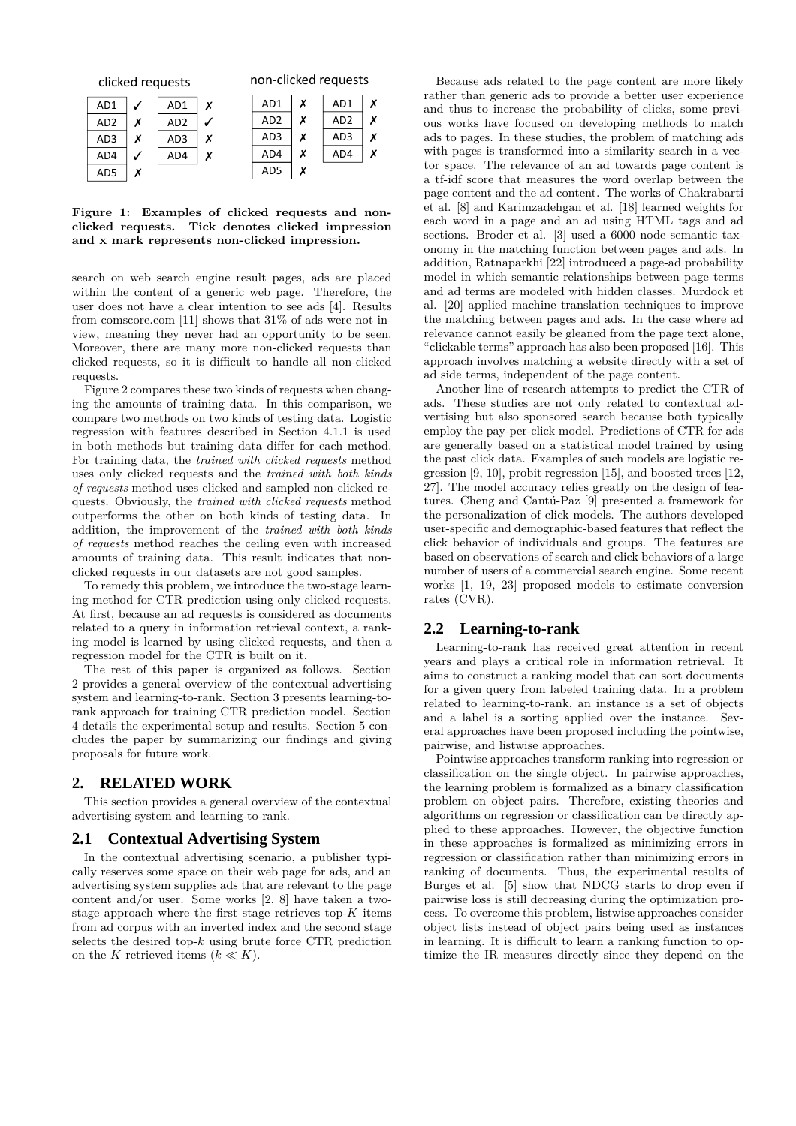| clicked requests |   |                 | non-clicked requests |  |                 |   |                 |   |
|------------------|---|-----------------|----------------------|--|-----------------|---|-----------------|---|
| AD1              |   | AD1             | Х                    |  | AD1             | x | AD1             |   |
| AD <sub>2</sub>  | х | AD <sub>2</sub> |                      |  | AD <sub>2</sub> | х | AD <sub>2</sub> |   |
| AD3              | х | AD3             | Х                    |  | AD3             | х | AD3             |   |
| AD4              |   | AD4             | х                    |  | AD4             | х | AD4             | х |
| AD5              | x |                 |                      |  | AD5             | x |                 |   |

**Figure 1: Examples of clicked requests and nonclicked requests. Tick denotes clicked impression and x mark represents non-clicked impression.**

search on web search engine result pages, ads are placed within the content of a generic web page. Therefore, the user does not have a clear intention to see ads [4]. Results from comscore.com [11] shows that 31% of ads were not inview, meaning they never had an opportunity to be seen. Moreover, there are many more non-clicked requests than clicked requests, so it is difficult to handle all non-clicked requests.

Figure 2 compares these two kinds of requests when changing the amounts of training data. In this comparison, we compare two methods on two kinds of testing data. Logistic regression with features described in Section 4.1.1 is used in both methods but training data differ for each method. For training data, the *trained with clicked requests* method uses only clicked requests and the *trained with both kinds of requests* method uses clicked and sampled non-clicked requests. Obviously, the *trained with clicked requests* method outperforms the other on both kinds of testing data. In addition, the improvement of the *trained with both kinds of requests* method reaches the ceiling even with increased amounts of training data. This result indicates that nonclicked requests in our datasets are not good samples.

To remedy this problem, we introduce the two-stage learning method for CTR prediction using only clicked requests. At first, because an ad requests is considered as documents related to a query in information retrieval context, a ranking model is learned by using clicked requests, and then a regression model for the CTR is built on it.

The rest of this paper is organized as follows. Section 2 provides a general overview of the contextual advertising system and learning-to-rank. Section 3 presents learning-torank approach for training CTR prediction model. Section 4 details the experimental setup and results. Section 5 concludes the paper by summarizing our findings and giving proposals for future work.

## **2. RELATED WORK**

This section provides a general overview of the contextual advertising system and learning-to-rank.

#### **2.1 Contextual Advertising System**

In the contextual advertising scenario, a publisher typically reserves some space on their web page for ads, and an advertising system supplies ads that are relevant to the page content and/or user. Some works [2, 8] have taken a twostage approach where the first stage retrieves top-*K* items from ad corpus with an inverted index and the second stage selects the desired top-*k* using brute force CTR prediction on the *K* retrieved items  $(k \ll K)$ .

Because ads related to the page content are more likely rather than generic ads to provide a better user experience and thus to increase the probability of clicks, some previous works have focused on developing methods to match ads to pages. In these studies, the problem of matching ads with pages is transformed into a similarity search in a vector space. The relevance of an ad towards page content is a tf-idf score that measures the word overlap between the page content and the ad content. The works of Chakrabarti et al. [8] and Karimzadehgan et al. [18] learned weights for each word in a page and an ad using HTML tags and ad sections. Broder et al. [3] used a 6000 node semantic taxonomy in the matching function between pages and ads. In addition, Ratnaparkhi [22] introduced a page-ad probability model in which semantic relationships between page terms and ad terms are modeled with hidden classes. Murdock et al. [20] applied machine translation techniques to improve the matching between pages and ads. In the case where ad relevance cannot easily be gleaned from the page text alone, "clickable terms" approach has also been proposed [16]. This approach involves matching a website directly with a set of ad side terms, independent of the page content.

Another line of research attempts to predict the CTR of ads. These studies are not only related to contextual advertising but also sponsored search because both typically employ the pay-per-click model. Predictions of CTR for ads are generally based on a statistical model trained by using the past click data. Examples of such models are logistic regression [9, 10], probit regression [15], and boosted trees [12, 27]. The model accuracy relies greatly on the design of features. Cheng and Cantú-Paz [9] presented a framework for the personalization of click models. The authors developed user-specific and demographic-based features that reflect the click behavior of individuals and groups. The features are based on observations of search and click behaviors of a large number of users of a commercial search engine. Some recent works [1, 19, 23] proposed models to estimate conversion rates (CVR).

#### **2.2 Learning-to-rank**

Learning-to-rank has received great attention in recent years and plays a critical role in information retrieval. It aims to construct a ranking model that can sort documents for a given query from labeled training data. In a problem related to learning-to-rank, an instance is a set of objects and a label is a sorting applied over the instance. Several approaches have been proposed including the pointwise, pairwise, and listwise approaches.

Pointwise approaches transform ranking into regression or classification on the single object. In pairwise approaches, the learning problem is formalized as a binary classification problem on object pairs. Therefore, existing theories and algorithms on regression or classification can be directly applied to these approaches. However, the objective function in these approaches is formalized as minimizing errors in regression or classification rather than minimizing errors in ranking of documents. Thus, the experimental results of Burges et al. [5] show that NDCG starts to drop even if pairwise loss is still decreasing during the optimization process. To overcome this problem, listwise approaches consider object lists instead of object pairs being used as instances in learning. It is difficult to learn a ranking function to optimize the IR measures directly since they depend on the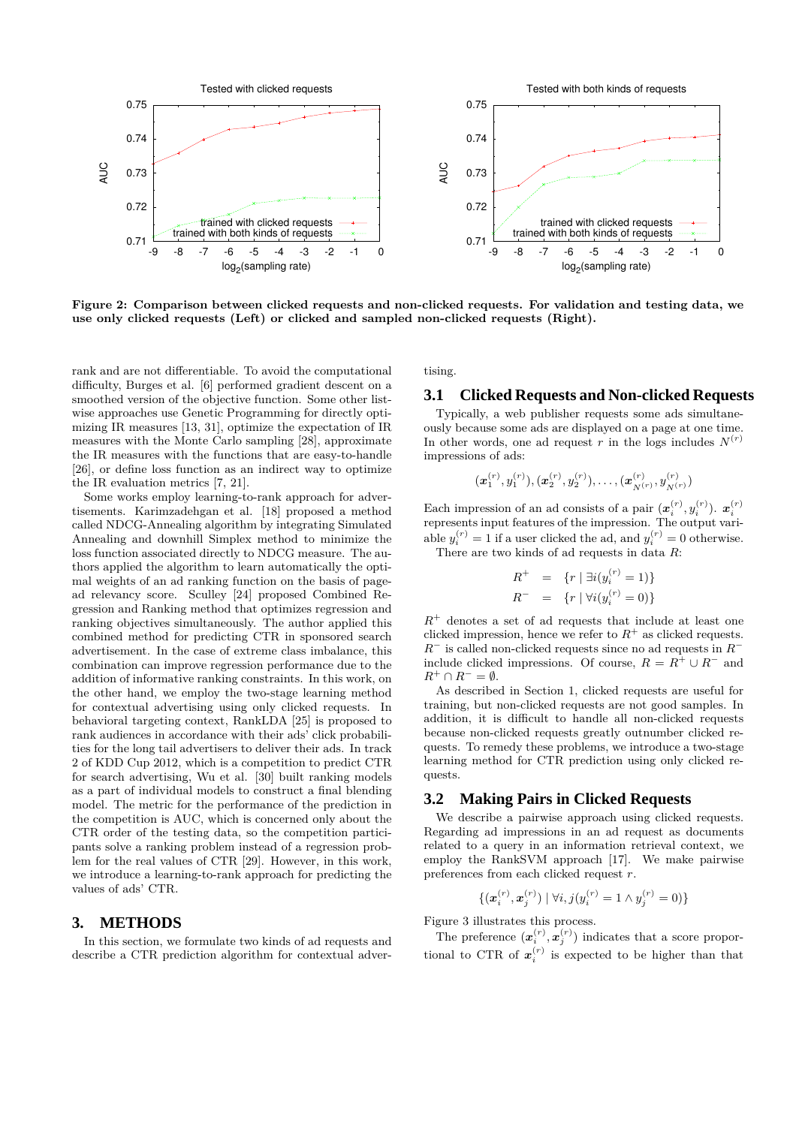

**Figure 2: Comparison between clicked requests and non-clicked requests. For validation and testing data, we use only clicked requests (Left) or clicked and sampled non-clicked requests (Right).**

rank and are not differentiable. To avoid the computational difficulty, Burges et al. [6] performed gradient descent on a smoothed version of the objective function. Some other listwise approaches use Genetic Programming for directly optimizing IR measures [13, 31], optimize the expectation of IR measures with the Monte Carlo sampling [28], approximate the IR measures with the functions that are easy-to-handle [26], or define loss function as an indirect way to optimize the IR evaluation metrics [7, 21].

Some works employ learning-to-rank approach for advertisements. Karimzadehgan et al. [18] proposed a method called NDCG-Annealing algorithm by integrating Simulated Annealing and downhill Simplex method to minimize the loss function associated directly to NDCG measure. The authors applied the algorithm to learn automatically the optimal weights of an ad ranking function on the basis of pagead relevancy score. Sculley [24] proposed Combined Regression and Ranking method that optimizes regression and ranking objectives simultaneously. The author applied this combined method for predicting CTR in sponsored search advertisement. In the case of extreme class imbalance, this combination can improve regression performance due to the addition of informative ranking constraints. In this work, on the other hand, we employ the two-stage learning method for contextual advertising using only clicked requests. In behavioral targeting context, RankLDA [25] is proposed to rank audiences in accordance with their ads' click probabilities for the long tail advertisers to deliver their ads. In track 2 of KDD Cup 2012, which is a competition to predict CTR for search advertising, Wu et al. [30] built ranking models as a part of individual models to construct a final blending model. The metric for the performance of the prediction in the competition is AUC, which is concerned only about the CTR order of the testing data, so the competition participants solve a ranking problem instead of a regression problem for the real values of CTR [29]. However, in this work, we introduce a learning-to-rank approach for predicting the values of ads' CTR.

## **3. METHODS**

In this section, we formulate two kinds of ad requests and describe a CTR prediction algorithm for contextual advertising.

#### **3.1 Clicked Requests and Non-clicked Requests**

Typically, a web publisher requests some ads simultaneously because some ads are displayed on a page at one time. In other words, one ad request *r* in the logs includes  $N^{(r)}$ impressions of ads:

 $(\boldsymbol{x}_1^{(r)},y_1^{(r)}),(\boldsymbol{x}_2^{(r)},y_2^{(r)}),\ldots,(\boldsymbol{x}_{N^{(r)}}^{(r)},y_{N^{(r)}}^{(r)})$ 

Each impression of an ad consists of a pair  $(x_i^{(r)}, y_i^{(r)})$ .  $x_i^{(r)}$ represents input features of the impression. The output variable  $y_i^{(r)} = 1$  if a user clicked the ad, and  $y_i^{(r)} = 0$  otherwise. There are two kinds of ad requests in data *R*:

$$
R^{+} = \{r \mid \exists i (y_i^{(r)} = 1) \}
$$
  

$$
R^{-} = \{r \mid \forall i (y_i^{(r)} = 0) \}
$$

(*r*)

*R* <sup>+</sup> denotes a set of ad requests that include at least one clicked impression, hence we refer to  $R^+$  as clicked requests. *R*<sup>−</sup> is called non-clicked requests since no ad requests in  $R$ <sup>−</sup> include clicked impressions. Of course,  $R = R^+ \cup R^-$  and  $R^+ \cap R^- = \emptyset.$ 

As described in Section 1, clicked requests are useful for training, but non-clicked requests are not good samples. In addition, it is difficult to handle all non-clicked requests because non-clicked requests greatly outnumber clicked requests. To remedy these problems, we introduce a two-stage learning method for CTR prediction using only clicked requests.

### **3.2 Making Pairs in Clicked Requests**

We describe a pairwise approach using clicked requests. Regarding ad impressions in an ad request as documents related to a query in an information retrieval context, we employ the RankSVM approach [17]. We make pairwise preferences from each clicked request *r*.

$$
\{(\bm{x}_i^{(r)},\bm{x}_j^{(r)}) \mid \forall i,j (y_i^{(r)}=1 \land y_j^{(r)}=0)\}
$$

Figure 3 illustrates this process.

The preference  $(x_i^{(r)}, x_j^{(r)})$  indicates that a score proportional to CTR of  $x_i^{(r)}$  is expected to be higher than that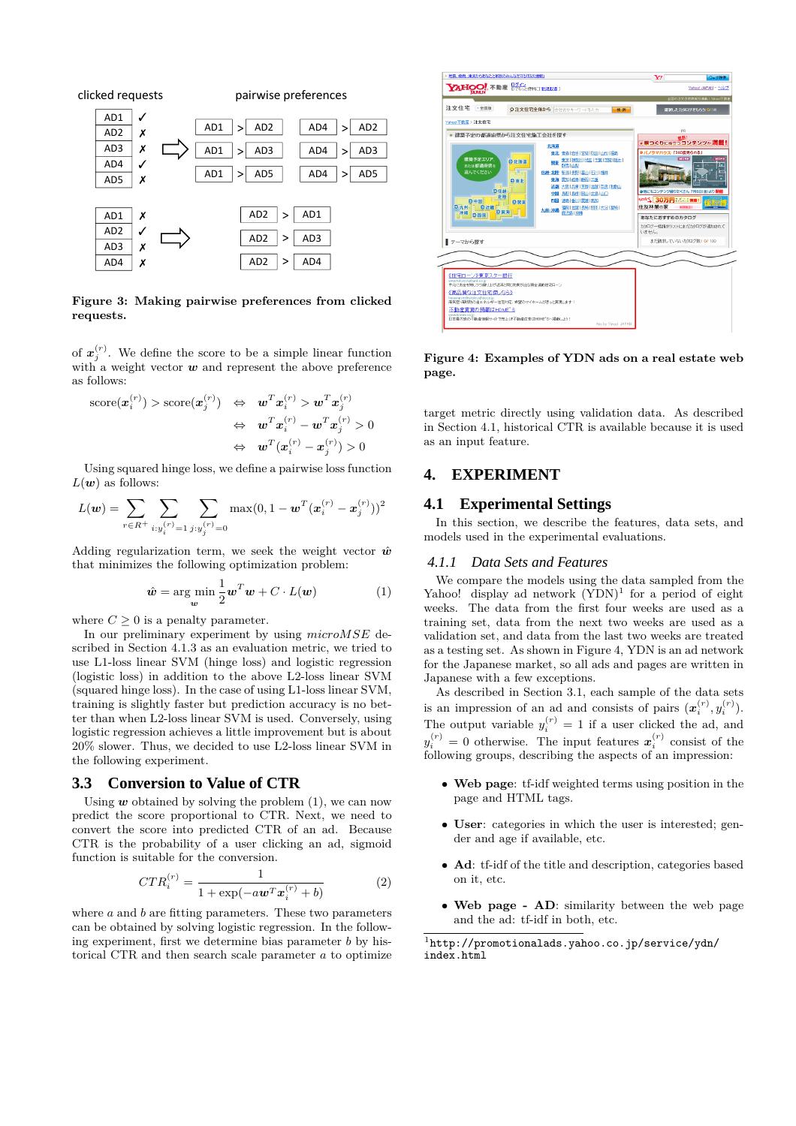

**Figure 3: Making pairwise preferences from clicked requests.**

of  $x_j^{(r)}$ . We define the score to be a simple linear function with a weight vector **w** and represent the above preference as follows:

$$
\begin{array}{rcl} \text{score}(\boldsymbol{x}_{i}^{(r)}) > \text{score}(\boldsymbol{x}_{j}^{(r)}) & \Leftrightarrow & \boldsymbol{w}^{T}\boldsymbol{x}_{i}^{(r)} > \boldsymbol{w}^{T}\boldsymbol{x}_{j}^{(r)} \\ & \Leftrightarrow & \boldsymbol{w}^{T}\boldsymbol{x}_{i}^{(r)} - \boldsymbol{w}^{T}\boldsymbol{x}_{j}^{(r)} > 0 \\ & \Leftrightarrow & \boldsymbol{w}^{T}(\boldsymbol{x}_{i}^{(r)} - \boldsymbol{x}_{j}^{(r)}) > 0 \end{array}
$$

Using squared hinge loss, we define a pairwise loss function  $L(w)$  as follows:

$$
L(\boldsymbol{w}) = \sum_{r \in R^+} \sum_{i: y_i^{(r)} = 1} \sum_{j: y_j^{(r)} = 0} \max(0, 1 - \boldsymbol{w}^T (\boldsymbol{x}_i^{(r)} - \boldsymbol{x}_j^{(r)}))^2
$$

Adding regularization term, we seek the weight vector  $\hat{w}$ that minimizes the following optimization problem:

$$
\hat{\boldsymbol{w}} = \arg\min_{\boldsymbol{w}} \frac{1}{2} \boldsymbol{w}^T \boldsymbol{w} + C \cdot L(\boldsymbol{w}) \tag{1}
$$

where  $C \geq 0$  is a penalty parameter.

In our preliminary experiment by using *microMSE* described in Section 4.1.3 as an evaluation metric, we tried to use L1-loss linear SVM (hinge loss) and logistic regression (logistic loss) in addition to the above L2-loss linear SVM (squared hinge loss). In the case of using L1-loss linear SVM, training is slightly faster but prediction accuracy is no better than when L2-loss linear SVM is used. Conversely, using logistic regression achieves a little improvement but is about 20% slower. Thus, we decided to use L2-loss linear SVM in the following experiment.

## **3.3 Conversion to Value of CTR**

Using  $w$  obtained by solving the problem  $(1)$ , we can now predict the score proportional to CTR. Next, we need to convert the score into predicted CTR of an ad. Because CTR is the probability of a user clicking an ad, sigmoid function is suitable for the conversion.

$$
CTR_i^{(r)} = \frac{1}{1 + \exp(-a\mathbf{w}^T \mathbf{x}_i^{(r)} + b)}
$$
(2)

where *a* and *b* are fitting parameters. These two parameters can be obtained by solving logistic regression. In the following experiment, first we determine bias parameter *b* by historical CTR and then search scale parameter *a* to optimize



**Figure 4: Examples of YDN ads on a real estate web page.**

target metric directly using validation data. As described in Section 4.1, historical CTR is available because it is used as an input feature.

# **4. EXPERIMENT**

## **4.1 Experimental Settings**

In this section, we describe the features, data sets, and models used in the experimental evaluations.

#### *4.1.1 Data Sets and Features*

We compare the models using the data sampled from the Yahoo! display ad network  $(YDN)^1$  for a period of eight weeks. The data from the first four weeks are used as a training set, data from the next two weeks are used as a validation set, and data from the last two weeks are treated as a testing set. As shown in Figure 4, YDN is an ad network for the Japanese market, so all ads and pages are written in Japanese with a few exceptions.

As described in Section 3.1, each sample of the data sets is an impression of an ad and consists of pairs  $(x_i^{(r)}, y_i^{(r)})$ . The output variable  $y_i^{(r)} = 1$  if a user clicked the ad, and  $y_i^{(r)} = 0$  otherwise. The input features  $x_i^{(r)}$  consist of the following groups, describing the aspects of an impression:

- *•* **Web page**: tf-idf weighted terms using position in the page and HTML tags.
- *•* **User**: categories in which the user is interested; gender and age if available, etc.
- *•* **Ad**: tf-idf of the title and description, categories based on it, etc.
- *•* **Web page AD**: similarity between the web page and the ad: tf-idf in both, etc.

 $^{1}$ http://promotionalads.yahoo.co.jp/service/ydn/ index.html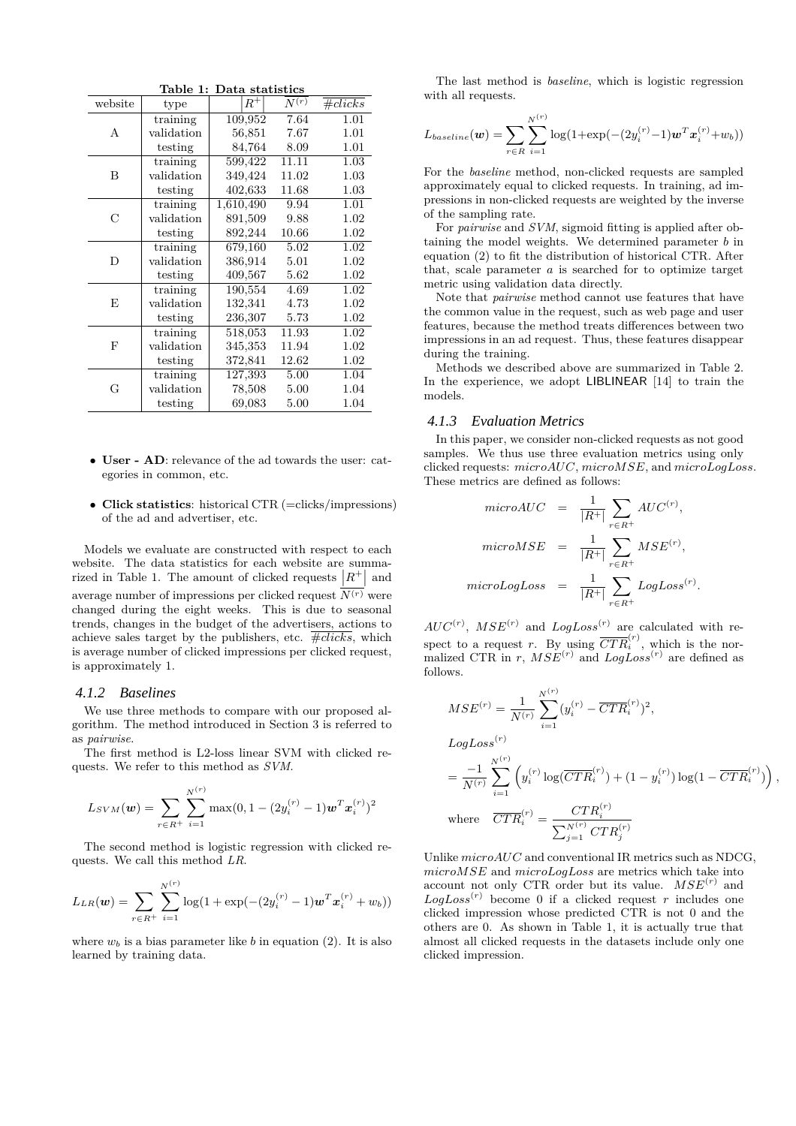| Table 1: Data statistics |            |           |       |            |  |  |  |
|--------------------------|------------|-----------|-------|------------|--|--|--|
| website                  | type       | $R^+$     | N(r)  | $\#clicks$ |  |  |  |
|                          | training   | 109,952   | 7.64  | 1.01       |  |  |  |
| A                        | validation | 56,851    | 7.67  | 1.01       |  |  |  |
|                          | testing    | 84,764    | 8.09  | 1.01       |  |  |  |
|                          | training   | 599,422   | 11.11 | 1.03       |  |  |  |
| B                        | validation | 349,424   | 11.02 | 1.03       |  |  |  |
|                          | testing    | 402,633   | 11.68 | 1.03       |  |  |  |
|                          | training   | 1,610,490 | 9.94  | 1.01       |  |  |  |
| $\mathcal{C}$            | validation | 891,509   | 9.88  | 1.02       |  |  |  |
|                          | testing    | 892,244   | 10.66 | 1.02       |  |  |  |
|                          | training   | 679,160   | 5.02  | 1.02       |  |  |  |
| D                        | validation | 386,914   | 5.01  | 1.02       |  |  |  |
|                          | testing    | 409,567   | 5.62  | 1.02       |  |  |  |
| E                        | training   | 190,554   | 4.69  | 1.02       |  |  |  |
|                          | validation | 132,341   | 4.73  | 1.02       |  |  |  |
|                          | testing    | 236,307   | 5.73  | 1.02       |  |  |  |
| $_{\rm F}$               | training   | 518,053   | 11.93 | 1.02       |  |  |  |
|                          | validation | 345,353   | 11.94 | 1.02       |  |  |  |
|                          | testing    | 372,841   | 12.62 | 1.02       |  |  |  |
| G                        | training   | 127,393   | 5.00  | 1.04       |  |  |  |
|                          | validation | 78,508    | 5.00  | 1.04       |  |  |  |
|                          | testing    | 69,083    | 5.00  | 1.04       |  |  |  |

- *•* **User AD**: relevance of the ad towards the user: categories in common, etc.
- *•* **Click statistics**: historical CTR (=clicks/impressions) of the ad and advertiser, etc.

Models we evaluate are constructed with respect to each website. The data statistics for each website are summarized in Table 1. The amount of clicked requests  $|R^{+}|$  and average number of impressions per clicked request  $\overline{N^{(r)}}$  were changed during the eight weeks. This is due to seasonal trends, changes in the budget of the advertisers, actions to achieve sales target by the publishers, etc.  $\overline{\#clicks}$ , which is average number of clicked impressions per clicked request, is approximately 1.

#### *4.1.2 Baselines*

We use three methods to compare with our proposed algorithm. The method introduced in Section 3 is referred to as *pairwise*.

The first method is L2-loss linear SVM with clicked requests. We refer to this method as *SVM*.

$$
L_{SVM}(\boldsymbol{w}) = \sum_{r \in R^+} \sum_{i=1}^{N^{(r)}} \max(0, 1 - (2y_i^{(r)} - 1)\boldsymbol{w}^T \boldsymbol{x}_i^{(r)})^2
$$

The second method is logistic regression with clicked requests. We call this method *LR*.

$$
L_{LR}(\boldsymbol{w}) = \sum_{r \in R^+} \sum_{i=1}^{N^{(r)}} \log(1 + \exp(-(2y_i^{(r)} - 1)\boldsymbol{w}^T \boldsymbol{x}_i^{(r)} + w_b))
$$

where  $w_b$  is a bias parameter like *b* in equation (2). It is also learned by training data.

The last method is *baseline*, which is logistic regression with all requests.

$$
L_{baseline}(\boldsymbol{w}) = \sum_{r \in R} \sum_{i=1}^{N^{(r)}} \log(1 + \exp(-(2y_i^{(r)} - 1)\boldsymbol{w}^T \boldsymbol{x}_i^{(r)} + w_b))
$$

For the *baseline* method, non-clicked requests are sampled approximately equal to clicked requests. In training, ad impressions in non-clicked requests are weighted by the inverse of the sampling rate.

For *pairwise* and *SVM*, sigmoid fitting is applied after obtaining the model weights. We determined parameter *b* in equation (2) to fit the distribution of historical CTR. After that, scale parameter *a* is searched for to optimize target metric using validation data directly.

Note that *pairwise* method cannot use features that have the common value in the request, such as web page and user features, because the method treats differences between two impressions in an ad request. Thus, these features disappear during the training.

Methods we described above are summarized in Table 2. In the experience, we adopt LIBLINEAR [14] to train the models.

#### *4.1.3 Evaluation Metrics*

In this paper, we consider non-clicked requests as not good samples. We thus use three evaluation metrics using only clicked requests: *microAUC*, *microMSE*, and *microLogLoss*. These metrics are defined as follows:

$$
microAUC = \frac{1}{|R^+|} \sum_{r \in R^+} AUC^{(r)},
$$

$$
microMSE = \frac{1}{|R^+|} \sum_{r \in R^+} MSE^{(r)},
$$

$$
microLogLoss = \frac{1}{|R^+|} \sum_{r \in R^+} LogLoss^{(r)}.
$$

 $AUC^{(r)}$ ,  $MSE^{(r)}$  and  $LogLoss^{(r)}$  are calculated with respect to a request *r*. By using  $\overline{CTR}_{i}^{(r)}$ , which is the normalized CTR in *r*,  $MSE^{(r)}$  and  $LogLoss^{(r)}$  are defined as follows.

$$
MSE^{(r)} = \frac{1}{N^{(r)}} \sum_{i=1}^{N^{(r)}} (y_i^{(r)} - \overline{CTR}_i^{(r)})^2,
$$
  
\n
$$
LogLoss^{(r)}
$$
  
\n
$$
= \frac{-1}{N^{(r)}} \sum_{i=1}^{N^{(r)}} \left( y_i^{(r)} \log(\overline{CTR}_i^{(r)}) + (1 - y_i^{(r)}) \log(1 - \overline{CTR}_i^{(r)}) \right),
$$
  
\nwhere 
$$
\overline{CTR}_i^{(r)} = \frac{CTR_i^{(r)}}{\sum_{j=1}^{N^{(r)}} CTR_j^{(r)}}
$$

Unlike *microAUC* and conventional IR metrics such as NDCG, *microMSE* and *microLogLoss* are metrics which take into account not only CTR order but its value.  $MSE^{(r)}$  and  $LogLoss<sup>(r)</sup>$  become 0 if a clicked request *r* includes one clicked impression whose predicted CTR is not 0 and the others are 0. As shown in Table 1, it is actually true that almost all clicked requests in the datasets include only one clicked impression.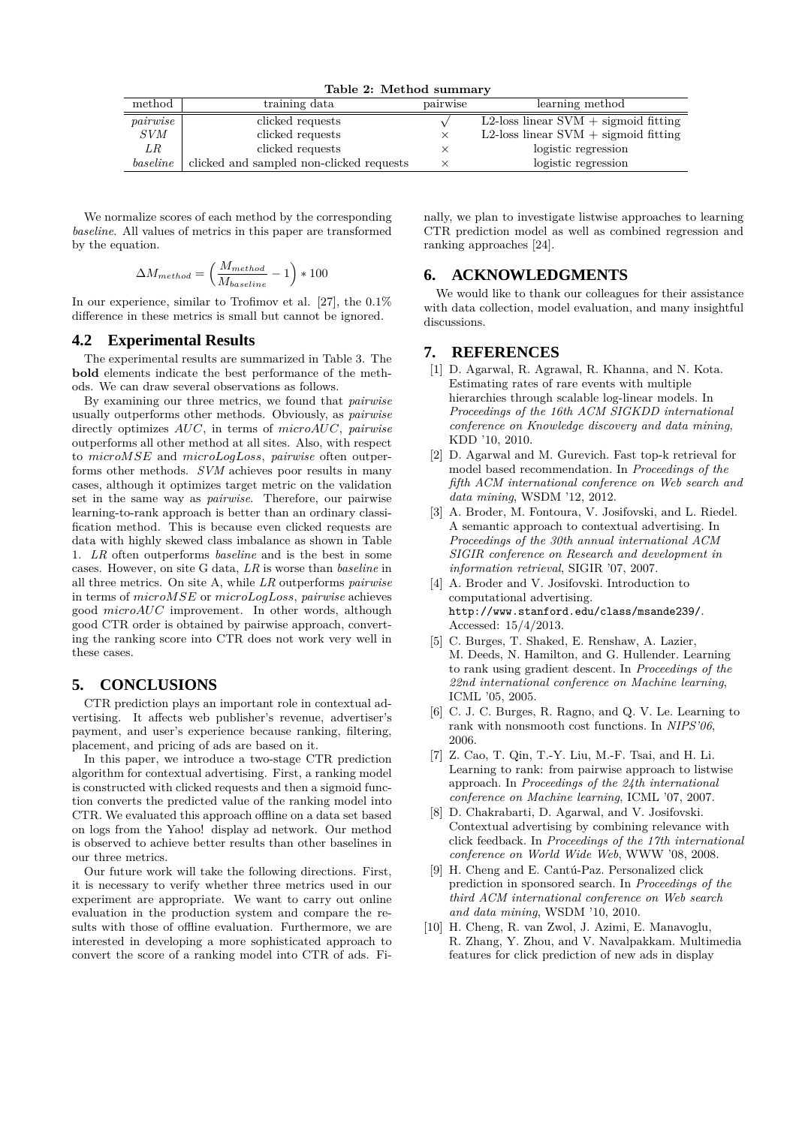**Table 2: Method summary**

| method   | training data                            | pairwise | learning method                        |
|----------|------------------------------------------|----------|----------------------------------------|
| pairwise | clicked requests                         |          | L2-loss linear $SVM$ + sigmoid fitting |
| SVM      | clicked requests                         |          | L2-loss linear $SVM$ + sigmoid fitting |
| LR .     | clicked requests                         |          | logistic regression                    |
| baseline | clicked and sampled non-clicked requests |          | logistic regression                    |

We normalize scores of each method by the corresponding *baseline*. All values of metrics in this paper are transformed by the equation.

$$
\Delta M_{method} = \left(\frac{M_{method}}{M_{baseline}} - 1\right) * 100
$$

In our experience, similar to Trofimov et al. [27], the 0.1% difference in these metrics is small but cannot be ignored.

#### **4.2 Experimental Results**

The experimental results are summarized in Table 3. The **bold** elements indicate the best performance of the methods. We can draw several observations as follows.

By examining our three metrics, we found that *pairwise* usually outperforms other methods. Obviously, as *pairwise* directly optimizes *AUC*, in terms of *microAUC*, *pairwise* outperforms all other method at all sites. Also, with respect to *microMSE* and *microLogLoss*, *pairwise* often outperforms other methods. *SVM* achieves poor results in many cases, although it optimizes target metric on the validation set in the same way as *pairwise*. Therefore, our pairwise learning-to-rank approach is better than an ordinary classification method. This is because even clicked requests are data with highly skewed class imbalance as shown in Table 1. *LR* often outperforms *baseline* and is the best in some cases. However, on site G data, *LR* is worse than *baseline* in all three metrics. On site A, while *LR* outperforms *pairwise* in terms of *microMSE* or *microLogLoss*, *pairwise* achieves good *microAUC* improvement. In other words, although good CTR order is obtained by pairwise approach, converting the ranking score into CTR does not work very well in these cases.

# **5. CONCLUSIONS**

CTR prediction plays an important role in contextual advertising. It affects web publisher's revenue, advertiser's payment, and user's experience because ranking, filtering, placement, and pricing of ads are based on it.

In this paper, we introduce a two-stage CTR prediction algorithm for contextual advertising. First, a ranking model is constructed with clicked requests and then a sigmoid function converts the predicted value of the ranking model into CTR. We evaluated this approach offline on a data set based on logs from the Yahoo! display ad network. Our method is observed to achieve better results than other baselines in our three metrics.

Our future work will take the following directions. First, it is necessary to verify whether three metrics used in our experiment are appropriate. We want to carry out online evaluation in the production system and compare the results with those of offline evaluation. Furthermore, we are interested in developing a more sophisticated approach to convert the score of a ranking model into CTR of ads. Fi-

nally, we plan to investigate listwise approaches to learning CTR prediction model as well as combined regression and ranking approaches [24].

# **6. ACKNOWLEDGMENTS**

We would like to thank our colleagues for their assistance with data collection, model evaluation, and many insightful discussions.

## **7. REFERENCES**

- [1] D. Agarwal, R. Agrawal, R. Khanna, and N. Kota. Estimating rates of rare events with multiple hierarchies through scalable log-linear models. In *Proceedings of the 16th ACM SIGKDD international conference on Knowledge discovery and data mining*, KDD '10, 2010.
- [2] D. Agarwal and M. Gurevich. Fast top-k retrieval for model based recommendation. In *Proceedings of the fifth ACM international conference on Web search and data mining*, WSDM '12, 2012.
- [3] A. Broder, M. Fontoura, V. Josifovski, and L. Riedel. A semantic approach to contextual advertising. In *Proceedings of the 30th annual international ACM SIGIR conference on Research and development in information retrieval*, SIGIR '07, 2007.
- [4] A. Broder and V. Josifovski. Introduction to computational advertising. http://www.stanford.edu/class/msande239/. Accessed: 15/4/2013.
- [5] C. Burges, T. Shaked, E. Renshaw, A. Lazier, M. Deeds, N. Hamilton, and G. Hullender. Learning to rank using gradient descent. In *Proceedings of the 22nd international conference on Machine learning*, ICML '05, 2005.
- [6] C. J. C. Burges, R. Ragno, and Q. V. Le. Learning to rank with nonsmooth cost functions. In *NIPS'06*, 2006.
- [7] Z. Cao, T. Qin, T.-Y. Liu, M.-F. Tsai, and H. Li. Learning to rank: from pairwise approach to listwise approach. In *Proceedings of the 24th international conference on Machine learning*, ICML '07, 2007.
- [8] D. Chakrabarti, D. Agarwal, and V. Josifovski. Contextual advertising by combining relevance with click feedback. In *Proceedings of the 17th international conference on World Wide Web*, WWW '08, 2008.
- [9] H. Cheng and E. Cantú-Paz. Personalized click prediction in sponsored search. In *Proceedings of the third ACM international conference on Web search and data mining*, WSDM '10, 2010.
- [10] H. Cheng, R. van Zwol, J. Azimi, E. Manavoglu, R. Zhang, Y. Zhou, and V. Navalpakkam. Multimedia features for click prediction of new ads in display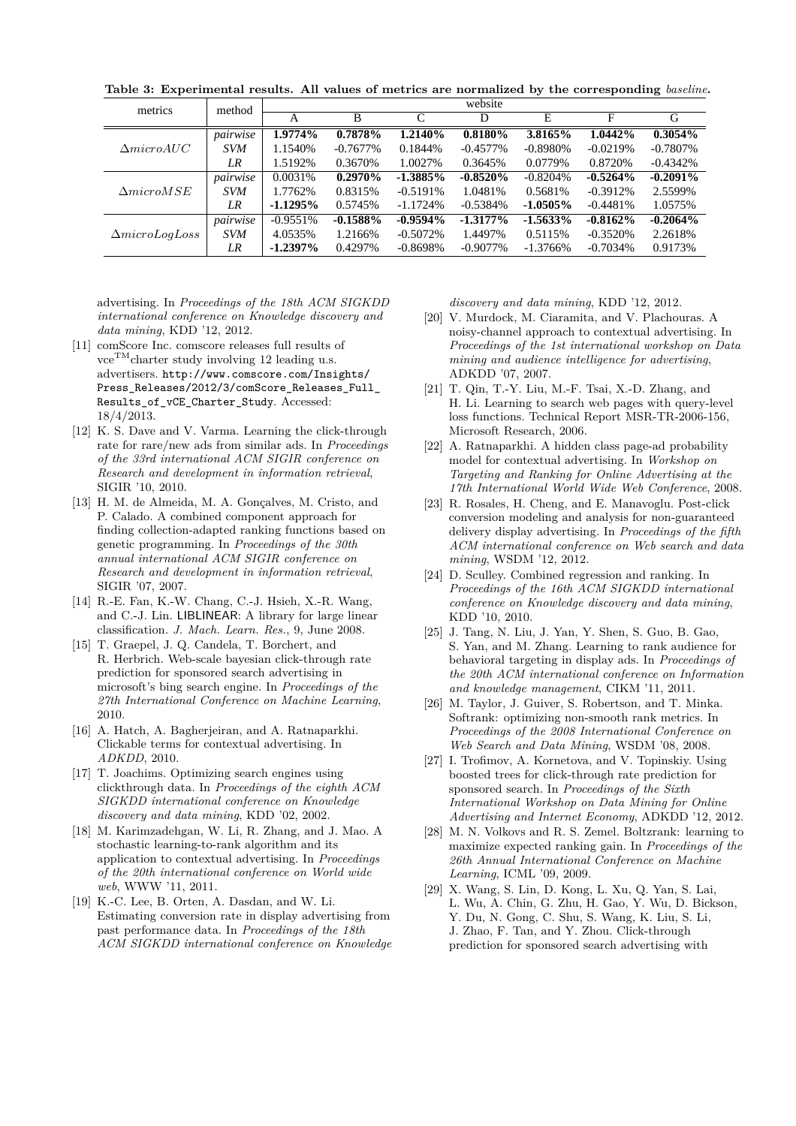| metrics               | method     | website     |             |             |             |             |            |             |
|-----------------------|------------|-------------|-------------|-------------|-------------|-------------|------------|-------------|
|                       |            |             | B           | C           | D           | E           | F          | G           |
| $\Delta microAUC$     | pairwise   | 1.9774%     | 0.7878%     | 1.2140%     | 0.8180%     | 3.8165%     | 1.0442%    | 0.3054%     |
|                       | <b>SVM</b> | 1.1540%     | $-0.7677\%$ | 0.1844\%    | $-0.4577\%$ | $-0.8980%$  | $-0.0219%$ | $-0.7807\%$ |
|                       | LR         | 1.5192%     | 0.3670%     | 1.0027%     | 0.3645%     | 0.0779%     | 0.8720\%   | $-0.4342%$  |
|                       | pairwise   | 0.0031%     | 0.2970%     | $-1.3885\%$ | $-0.8520%$  | $-0.8204%$  | $-0.5264%$ | $-0.2091\%$ |
| $\Delta microMSE$     | <b>SVM</b> | 1.7762%     | 0.8315%     | $-0.5191\%$ | 1.0481%     | 0.5681%     | $-0.3912%$ | 2.5599%     |
|                       | LR         | $-1.1295\%$ | 0.5745%     | $-1.1724%$  | $-0.5384%$  | $-1.0505\%$ | $-0.4481%$ | 1.0575%     |
|                       | pairwise   | $-0.9551\%$ | $-0.1588%$  | $-0.9594\%$ | $-1.3177\%$ | $-1.5633\%$ | $-0.8162%$ | $-0.2064%$  |
| $\Delta microLogLoss$ | <b>SVM</b> | 4.0535%     | 1.2166%     | $-0.5072%$  | 1.4497%     | 0.5115%     | $-0.3520%$ | 2.2618%     |
|                       | LR         | $-1.2397\%$ | 0.4297%     | $-0.8698\%$ | $-0.9077\%$ | $-1.3766%$  | $-0.7034%$ | 0.9173%     |

**Table 3: Experimental results. All values of metrics are normalized by the corresponding** *baseline***.**

advertising. In *Proceedings of the 18th ACM SIGKDD international conference on Knowledge discovery and data mining*, KDD '12, 2012.

- [11] comScore Inc. comscore releases full results of  $vce^{TM}$ charter study involving 12 leading u.s. advertisers. http://www.comscore.com/Insights/ Press\_Releases/2012/3/comScore\_Releases\_Full\_ Results\_of\_vCE\_Charter\_Study. Accessed: 18/4/2013.
- [12] K. S. Dave and V. Varma. Learning the click-through rate for rare/new ads from similar ads. In *Proceedings of the 33rd international ACM SIGIR conference on Research and development in information retrieval*, SIGIR '10, 2010.
- [13] H. M. de Almeida, M. A. Gonçalves, M. Cristo, and P. Calado. A combined component approach for finding collection-adapted ranking functions based on genetic programming. In *Proceedings of the 30th annual international ACM SIGIR conference on Research and development in information retrieval*, SIGIR '07, 2007.
- [14] R.-E. Fan, K.-W. Chang, C.-J. Hsieh, X.-R. Wang, and C.-J. Lin. LIBLINEAR: A library for large linear classification. *J. Mach. Learn. Res.*, 9, June 2008.
- [15] T. Graepel, J. Q. Candela, T. Borchert, and R. Herbrich. Web-scale bayesian click-through rate prediction for sponsored search advertising in microsoft's bing search engine. In *Proceedings of the 27th International Conference on Machine Learning*, 2010.
- [16] A. Hatch, A. Bagherjeiran, and A. Ratnaparkhi. Clickable terms for contextual advertising. In *ADKDD*, 2010.
- [17] T. Joachims. Optimizing search engines using clickthrough data. In *Proceedings of the eighth ACM SIGKDD international conference on Knowledge discovery and data mining*, KDD '02, 2002.
- [18] M. Karimzadehgan, W. Li, R. Zhang, and J. Mao. A stochastic learning-to-rank algorithm and its application to contextual advertising. In *Proceedings of the 20th international conference on World wide web*, WWW '11, 2011.
- [19] K.-C. Lee, B. Orten, A. Dasdan, and W. Li. Estimating conversion rate in display advertising from past performance data. In *Proceedings of the 18th ACM SIGKDD international conference on Knowledge*

*discovery and data mining*, KDD '12, 2012.

- [20] V. Murdock, M. Ciaramita, and V. Plachouras. A noisy-channel approach to contextual advertising. In *Proceedings of the 1st international workshop on Data mining and audience intelligence for advertising*, ADKDD '07, 2007.
- [21] T. Qin, T.-Y. Liu, M.-F. Tsai, X.-D. Zhang, and H. Li. Learning to search web pages with query-level loss functions. Technical Report MSR-TR-2006-156, Microsoft Research, 2006.
- [22] A. Ratnaparkhi. A hidden class page-ad probability model for contextual advertising. In *Workshop on Targeting and Ranking for Online Advertising at the 17th International World Wide Web Conference*, 2008.
- [23] R. Rosales, H. Cheng, and E. Manavoglu. Post-click conversion modeling and analysis for non-guaranteed delivery display advertising. In *Proceedings of the fifth ACM international conference on Web search and data mining*, WSDM '12, 2012.
- [24] D. Sculley. Combined regression and ranking. In *Proceedings of the 16th ACM SIGKDD international conference on Knowledge discovery and data mining*, KDD '10, 2010.
- [25] J. Tang, N. Liu, J. Yan, Y. Shen, S. Guo, B. Gao, S. Yan, and M. Zhang. Learning to rank audience for behavioral targeting in display ads. In *Proceedings of the 20th ACM international conference on Information and knowledge management*, CIKM '11, 2011.
- [26] M. Taylor, J. Guiver, S. Robertson, and T. Minka. Softrank: optimizing non-smooth rank metrics. In *Proceedings of the 2008 International Conference on Web Search and Data Mining*, WSDM '08, 2008.
- [27] I. Trofimov, A. Kornetova, and V. Topinskiy. Using boosted trees for click-through rate prediction for sponsored search. In *Proceedings of the Sixth International Workshop on Data Mining for Online Advertising and Internet Economy*, ADKDD '12, 2012.
- [28] M. N. Volkovs and R. S. Zemel. Boltzrank: learning to maximize expected ranking gain. In *Proceedings of the 26th Annual International Conference on Machine Learning*, ICML '09, 2009.
- [29] X. Wang, S. Lin, D. Kong, L. Xu, Q. Yan, S. Lai, L. Wu, A. Chin, G. Zhu, H. Gao, Y. Wu, D. Bickson, Y. Du, N. Gong, C. Shu, S. Wang, K. Liu, S. Li, J. Zhao, F. Tan, and Y. Zhou. Click-through prediction for sponsored search advertising with